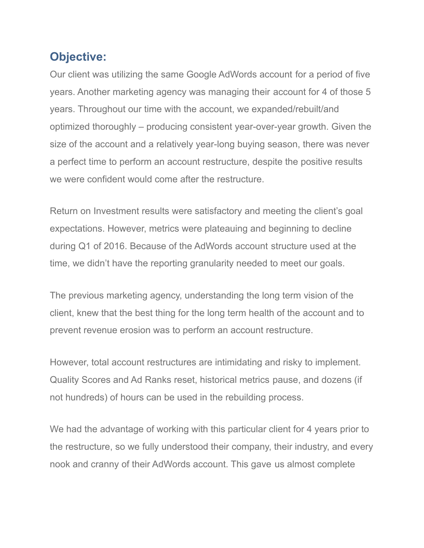## **Objective:**

Our client was utilizing the same Google AdWords account for a period of five years. Another marketing agency was managing their account for 4 of those 5 years. Throughout our time with the account, we expanded/rebuilt/and optimized thoroughly – producing consistent year-over-year growth. Given the size of the account and a relatively year-long buying season, there was never a perfect time to perform an account restructure, despite the positive results we were confident would come after the restructure.

Return on Investment results were satisfactory and meeting the client's goal expectations. However, metrics were plateauing and beginning to decline during Q1 of 2016. Because of the AdWords account structure used at the time, we didn't have the reporting granularity needed to meet our goals.

The previous marketing agency, understanding the long term vision of the client, knew that the best thing for the long term health of the account and to prevent revenue erosion was to perform an account restructure.

However, total account restructures are intimidating and risky to implement. Quality Scores and Ad Ranks reset, historical metrics pause, and dozens (if not hundreds) of hours can be used in the rebuilding process.

We had the advantage of working with this particular client for 4 years prior to the restructure, so we fully understood their company, their industry, and every nook and cranny of their AdWords account. This gave us almost complete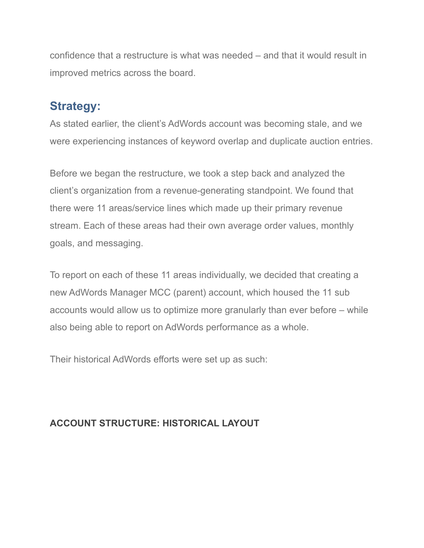confidence that a restructure is what was needed – and that it would result in improved metrics across the board.

## **Strategy:**

As stated earlier, the client's AdWords account was becoming stale, and we were experiencing instances of keyword overlap and duplicate auction entries.

Before we began the restructure, we took a step back and analyzed the client's organization from a revenue-generating standpoint. We found that there were 11 areas/service lines which made up their primary revenue stream. Each of these areas had their own average order values, monthly goals, and messaging.

To report on each of these 11 areas individually, we decided that creating a new AdWords Manager MCC (parent) account, which housed the 11 sub accounts would allow us to optimize more granularly than ever before – while also being able to report on AdWords performance as a whole.

Their historical AdWords efforts were set up as such:

### **ACCOUNT STRUCTURE: HISTORICAL LAYOUT**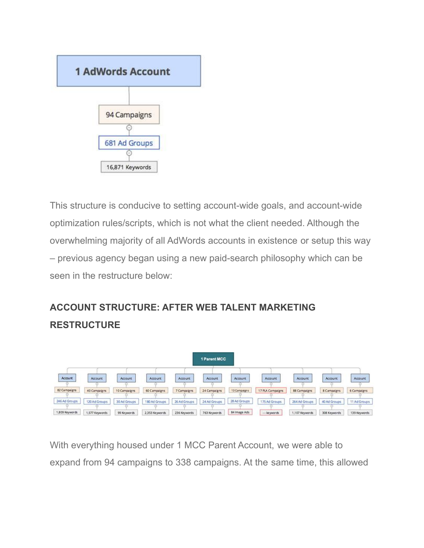

This structure is conducive to setting account-wide goals, and account-wide optimization rules/scripts, which is not what the client needed. Although the overwhelming majority of all AdWords accounts in existence or setup this way – previous agency began using a new paid-search philosophy which can be seen in the restructure below:

## **ACCOUNT STRUCTURE: AFTER WEB TALENT MARKETING RESTRUCTURE**



With everything housed under 1 MCC Parent Account, we were able to expand from 94 campaigns to 338 campaigns. At the same time, this allowed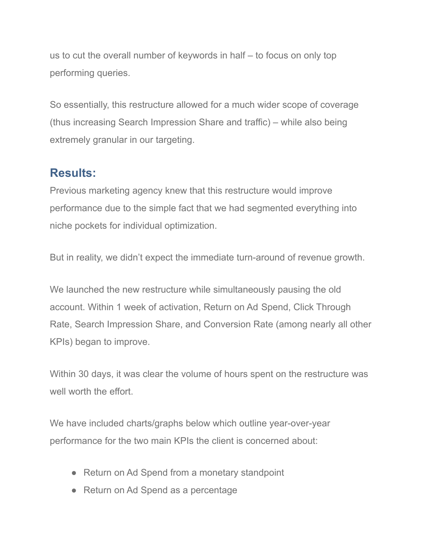us to cut the overall number of keywords in half – to focus on only top performing queries.

So essentially, this restructure allowed for a much wider scope of coverage (thus increasing Search Impression Share and traffic) – while also being extremely granular in our targeting.

# **Results:**

Previous marketing agency knew that this restructure would improve performance due to the simple fact that we had segmented everything into niche pockets for individual optimization.

But in reality, we didn't expect the immediate turn-around of revenue growth.

We launched the new restructure while simultaneously pausing the old account. Within 1 week of activation, Return on Ad Spend, Click Through Rate, Search Impression Share, and Conversion Rate (among nearly all other KPIs) began to improve.

Within 30 days, it was clear the volume of hours spent on the restructure was well worth the effort.

We have included charts/graphs below which outline year-over-year performance for the two main KPIs the client is concerned about:

- Return on Ad Spend from a monetary standpoint
- Return on Ad Spend as a percentage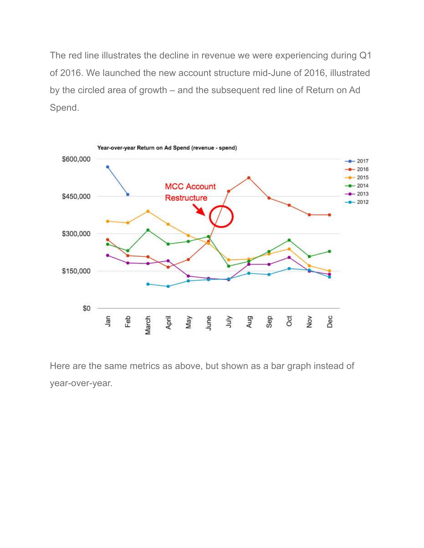The red line illustrates the decline in revenue we were experiencing during Q1 of 2016. We launched the new account structure mid-June of 2016, illustrated by the circled area of growth – and the subsequent red line of Return on Ad Spend.



Here are the same metrics as above, but shown as a bar graph instead of year-over-year.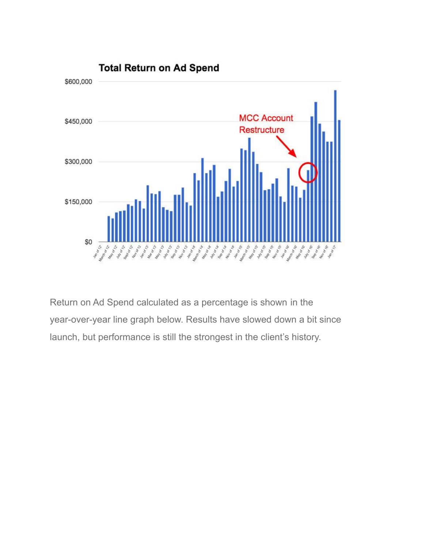

Return on Ad Spend calculated as a percentage is shown in the year-over-year line graph below. Results have slowed down a bit since launch, but performance is still the strongest in the client's history.